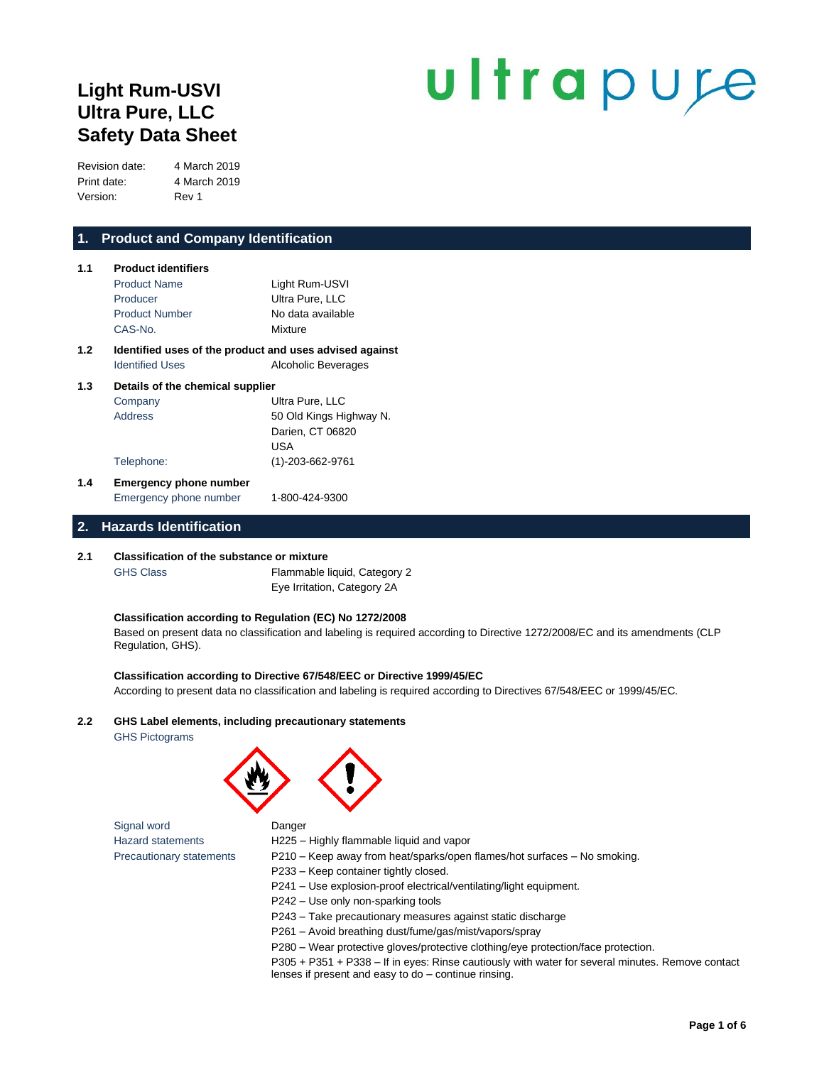## **Light Rum-USVI Ultra Pure, LLC Safety Data Sheet**

# ultrapure

Revision date: 4 March 2019 Print date: 4 March 2019 Version: Rev 1

### **1. Product and Company Identification**

| 1.1                                     | <b>Product identifiers</b>                              |                         |
|-----------------------------------------|---------------------------------------------------------|-------------------------|
|                                         | <b>Product Name</b>                                     | Light Rum-USVI          |
|                                         | Producer                                                | Ultra Pure, LLC         |
|                                         | <b>Product Number</b>                                   | No data available       |
|                                         | CAS-No.                                                 | Mixture                 |
| 1.2                                     | Identified uses of the product and uses advised against |                         |
|                                         | <b>Identified Uses</b>                                  | Alcoholic Beverages     |
| Details of the chemical supplier<br>1.3 |                                                         |                         |
|                                         | Company                                                 | Ultra Pure, LLC         |
|                                         | <b>Address</b>                                          | 50 Old Kings Highway N. |
|                                         |                                                         | Darien, CT 06820        |
|                                         |                                                         | USA                     |
|                                         | Telephone:                                              | (1)-203-662-9761        |

**1.4 Emergency phone number** Emergency phone number 1-800-424-9300

#### **2. Hazards Identification**

#### **2.1 Classification of the substance or mixture**

GHS Class Flammable liquid, Category 2 Eye Irritation, Category 2A

#### **Classification according to Regulation (EC) No 1272/2008**

Based on present data no classification and labeling is required according to Directive 1272/2008/EC and its amendments (CLP Regulation, GHS).

#### **Classification according to Directive 67/548/EEC or Directive 1999/45/EC**

According to present data no classification and labeling is required according to Directives 67/548/EEC or 1999/45/EC.

#### **2.2 GHS Label elements, including precautionary statements**

GHS Pictograms



Signal word **Danger** Hazard statements H225 – Highly flammable liquid and vapor

- Precautionary statements P210 Keep away from heat/sparks/open flames/hot surfaces No smoking.
	- P233 Keep container tightly closed.
	- P241 Use explosion-proof electrical/ventilating/light equipment.
	- P242 Use only non-sparking tools
	- P243 Take precautionary measures against static discharge
	- P261 Avoid breathing dust/fume/gas/mist/vapors/spray
	- P280 Wear protective gloves/protective clothing/eye protection/face protection.

P305 + P351 + P338 – If in eyes: Rinse cautiously with water for several minutes. Remove contact lenses if present and easy to do – continue rinsing.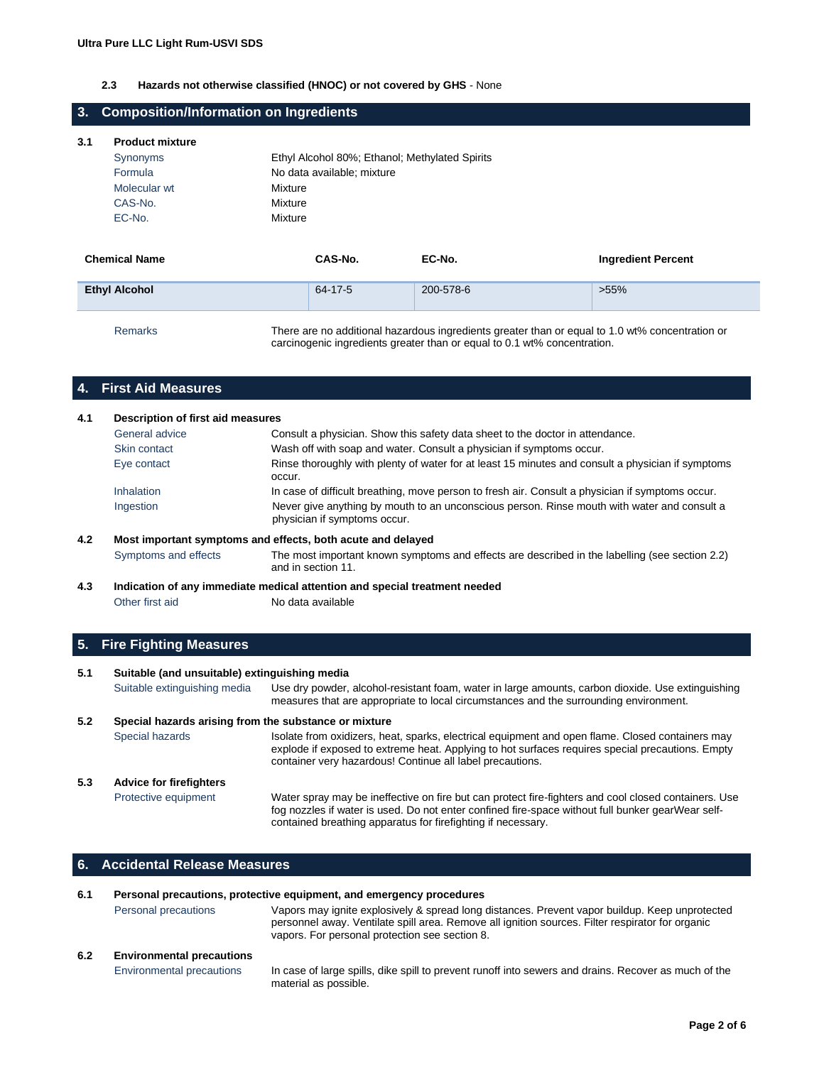#### **2.3 Hazards not otherwise classified (HNOC) or not covered by GHS** - None

#### **3. Composition/Information on Ingredients**

#### **3.1 Product mixture**

| Synonyms     | Ethyl Alcohol 80%; Ethanol; Methylated Spirits |
|--------------|------------------------------------------------|
| Formula      | No data available; mixture                     |
| Molecular wt | Mixture                                        |
| CAS-No.      | Mixture                                        |
| EC-No.       | Mixture                                        |
|              |                                                |

| <b>Chemical Name</b> | CAS-No. | EC-No.                                                                                                                                                                      | <b>Ingredient Percent</b> |
|----------------------|---------|-----------------------------------------------------------------------------------------------------------------------------------------------------------------------------|---------------------------|
| <b>Ethyl Alcohol</b> | 64-17-5 | 200-578-6                                                                                                                                                                   | $>55\%$                   |
| <b>Remarks</b>       |         | There are no additional hazardous ingredients greater than or equal to 1.0 wt% concentration or<br>carcinogenic ingredients greater than or equal to 0.1 wt% concentration. |                           |

#### **4. First Aid Measures**

| 4.1 | Description of first aid measures |                                                                                                                             |
|-----|-----------------------------------|-----------------------------------------------------------------------------------------------------------------------------|
|     | General advice                    | Consult a physician. Show this safety data sheet to the doctor in attendance.                                               |
|     | Skin contact                      | Wash off with soap and water. Consult a physician if symptoms occur.                                                        |
|     | Eye contact                       | Rinse thoroughly with plenty of water for at least 15 minutes and consult a physician if symptoms<br>occur.                 |
|     | Inhalation                        | In case of difficult breathing, move person to fresh air. Consult a physician if symptoms occur.                            |
|     | Ingestion                         | Never give anything by mouth to an unconscious person. Rinse mouth with water and consult a<br>physician if symptoms occur. |
| 4.2 |                                   | Most important symptoms and effects, both acute and delayed                                                                 |
|     | Symptoms and effects              | The most important known symptoms and effects are described in the labelling (see section 2.2)<br>and in section 11.        |
| 4.3 |                                   | Indication of any immediate medical attention and special treatment needed                                                  |

## **5. Fire Fighting Measures**

Other first aid No data available

#### **5.1 Suitable (and unsuitable) extinguishing media** Suitable extinguishing media Use dry powder, alcohol-resistant foam, water in large amounts, carbon dioxide. Use extinguishing measures that are appropriate to local circumstances and the surrounding environment. **5.2 Special hazards arising from the substance or mixture** Special hazards **Isolate from oxidizers, heat, sparks, electrical equipment and open flame. Closed containers may** explode if exposed to extreme heat. Applying to hot surfaces requires special precautions. Empty container very hazardous! Continue all label precautions. **5.3 Advice for firefighters** Protective equipment Water spray may be ineffective on fire but can protect fire-fighters and cool closed containers. Use fog nozzles if water is used. Do not enter confined fire-space without full bunker gearWear selfcontained breathing apparatus for firefighting if necessary.

#### **6. Accidental Release Measures**

| 6.1 |                                  | Personal precautions, protective equipment, and emergency procedures                                                                                                                                                                                 |
|-----|----------------------------------|------------------------------------------------------------------------------------------------------------------------------------------------------------------------------------------------------------------------------------------------------|
|     | Personal precautions             | Vapors may ignite explosively & spread long distances. Prevent vapor buildup. Keep unprotected<br>personnel away. Ventilate spill area. Remove all ignition sources. Filter respirator for organic<br>vapors. For personal protection see section 8. |
| 6.2 | <b>Environmental precautions</b> |                                                                                                                                                                                                                                                      |
|     | Environmental precautions        | In case of large spills, dike spill to prevent runoff into sewers and drains. Recover as much of the<br>material as possible.                                                                                                                        |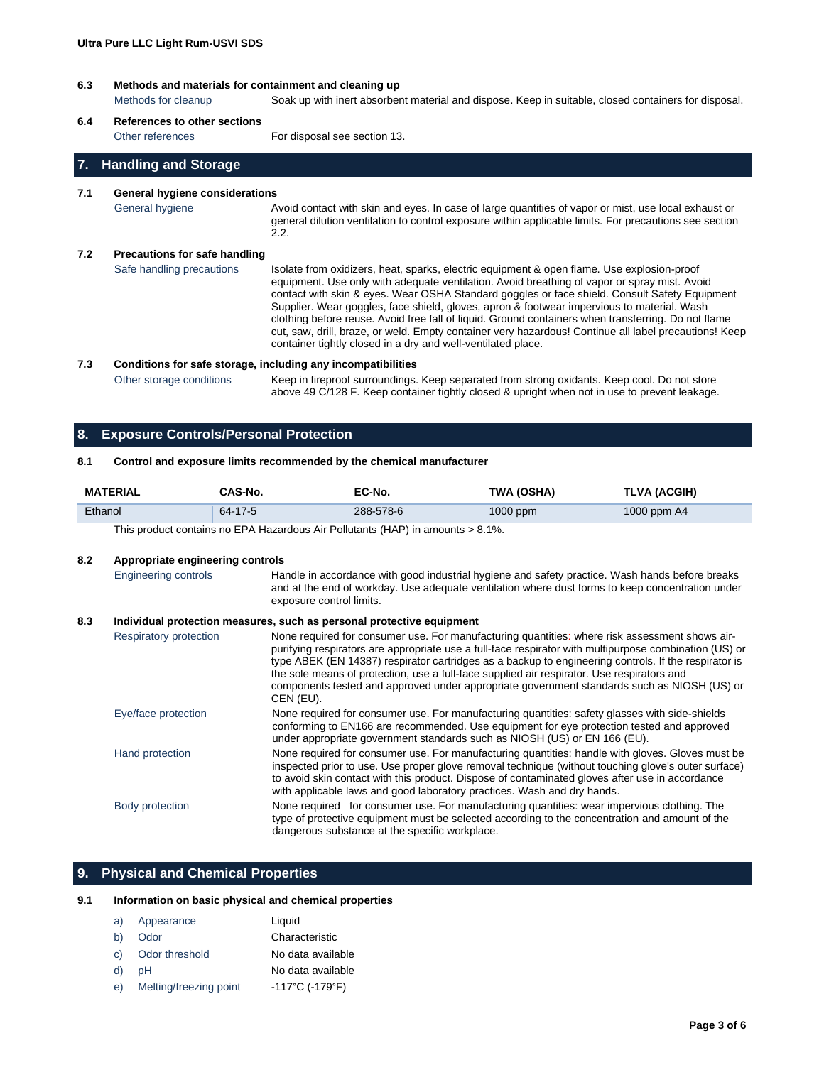#### **6.3 Methods and materials for containment and cleaning up**

Methods for cleanup Soak up with inert absorbent material and dispose. Keep in suitable, closed containers for disposal.

#### **6.4 References to other sections**

Other references For disposal see section 13.

#### **7. Handling and Storage**

#### **7.1 General hygiene considerations**

General hygiene **Avoid contact with skin and eyes. In case of large quantities of vapor or mist, use local exhaust or** general dilution ventilation to control exposure within applicable limits. For precautions see section 2.2.

#### **7.2 Precautions for safe handling**

Safe handling precautions lsolate from oxidizers, heat, sparks, electric equipment & open flame. Use explosion-proof equipment. Use only with adequate ventilation. Avoid breathing of vapor or spray mist. Avoid contact with skin & eyes. Wear OSHA Standard goggles or face shield. Consult Safety Equipment Supplier. Wear goggles, face shield, gloves, apron & footwear impervious to material. Wash clothing before reuse. Avoid free fall of liquid. Ground containers when transferring. Do not flame cut, saw, drill, braze, or weld. Empty container very hazardous! Continue all label precautions! Keep container tightly closed in a dry and well-ventilated place.

#### **7.3 Conditions for safe storage, including any incompatibilities**

Other storage conditions Keep in fireproof surroundings. Keep separated from strong oxidants. Keep cool. Do not store above 49 C/128 F. Keep container tightly closed & upright when not in use to prevent leakage.

#### **8. Exposure Controls/Personal Protection**

#### **8.1 Control and exposure limits recommended by the chemical manufacturer**

| <b>MATERIAL</b> | CAS-No. | EC-No.                                                                               | TWA (OSHA) | TLVA (ACGIH) |
|-----------------|---------|--------------------------------------------------------------------------------------|------------|--------------|
| Ethanol         | 64-17-5 | 288-578-6                                                                            | $1000$ ppm | 1000 ppm A4  |
|                 |         | This product contains no $FPA$ Hazardous Air Pollutants (HAP) in amounts $\lt 8.1\%$ |            |              |

This product contains no EPA Hazardous Air Pollutants (HAP) in amounts > 8.1%.

#### **8.2 Appropriate engineering controls**

Engineering controls Handle in accordance with good industrial hygiene and safety practice. Wash hands before breaks and at the end of workday. Use adequate ventilation where dust forms to keep concentration under exposure control limits.

#### **8.3 Individual protection measures, such as personal protective equipment**

| Respiratory protection | None required for consumer use. For manufacturing quantities: where risk assessment shows air-<br>purifying respirators are appropriate use a full-face respirator with multipurpose combination (US) or<br>type ABEK (EN 14387) respirator cartridges as a backup to engineering controls. If the respirator is<br>the sole means of protection, use a full-face supplied air respirator. Use respirators and<br>components tested and approved under appropriate government standards such as NIOSH (US) or<br>CEN (EU). |
|------------------------|----------------------------------------------------------------------------------------------------------------------------------------------------------------------------------------------------------------------------------------------------------------------------------------------------------------------------------------------------------------------------------------------------------------------------------------------------------------------------------------------------------------------------|
| Eye/face protection    | None required for consumer use. For manufacturing quantities: safety glasses with side-shields<br>conforming to EN166 are recommended. Use equipment for eye protection tested and approved<br>under appropriate government standards such as NIOSH (US) or EN 166 (EU).                                                                                                                                                                                                                                                   |
| Hand protection        | None required for consumer use. For manufacturing quantities: handle with gloves. Gloves must be<br>inspected prior to use. Use proper glove removal technique (without touching glove's outer surface)<br>to avoid skin contact with this product. Dispose of contaminated gloves after use in accordance<br>with applicable laws and good laboratory practices. Wash and dry hands.                                                                                                                                      |
| Body protection        | None required for consumer use. For manufacturing quantities: wear impervious clothing. The<br>type of protective equipment must be selected according to the concentration and amount of the<br>dangerous substance at the specific workplace.                                                                                                                                                                                                                                                                            |

#### **9. Physical and Chemical Properties**

#### **9.1 Information on basic physical and chemical properties**

| a) | Appearance             | Liquid            |
|----|------------------------|-------------------|
| b) | Odor                   | Characteristic    |
| C) | Odor threshold         | No data available |
| d) | рH                     | No data available |
| e) | Melting/freezing point | -117°C (-179°F)   |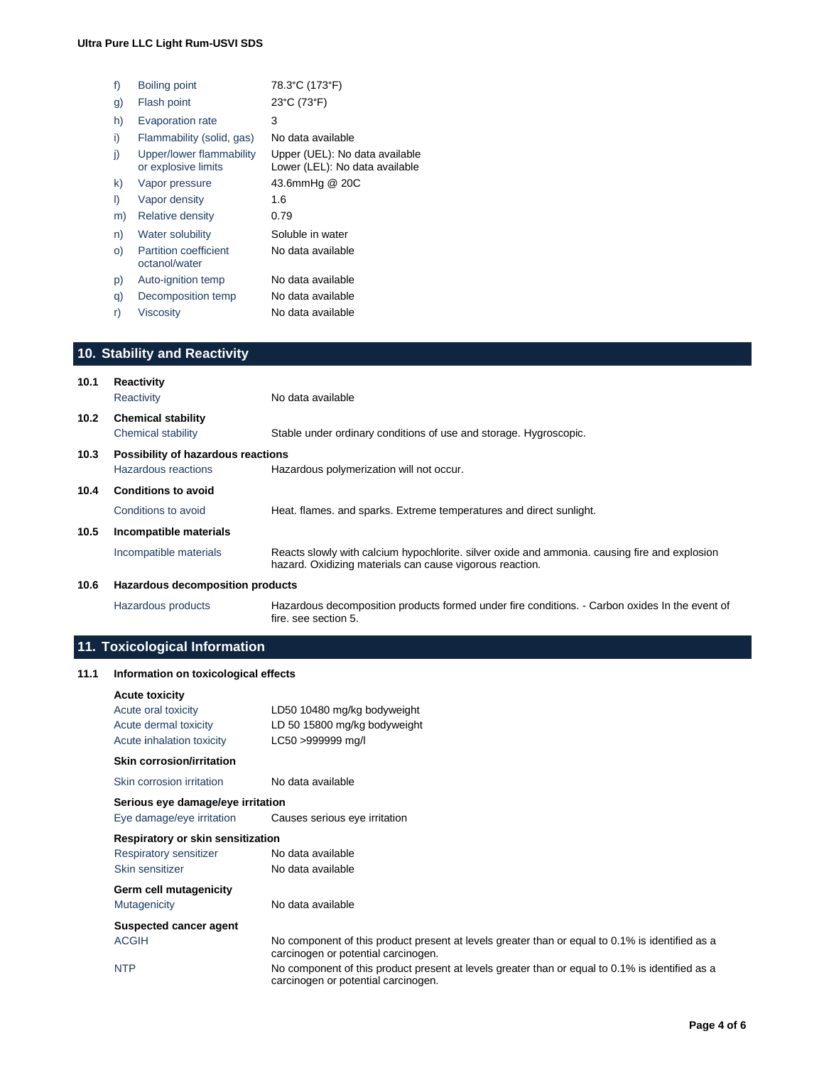| 78.3°C (173°F)                                                   |
|------------------------------------------------------------------|
| 23°C (73°F)                                                      |
| 3                                                                |
| No data available                                                |
| Upper (UEL): No data available<br>Lower (LEL): No data available |
| 43.6mmHg @ 20C                                                   |
| 1.6                                                              |
| 0.79                                                             |
| Soluble in water                                                 |
| No data available                                                |
| No data available                                                |
| No data available                                                |
| No data available                                                |
|                                                                  |

## **10. Stability and Reactivity**

| 10.1              | <b>Reactivity</b><br>Reactivity                           | No data available                                                                                                                                         |
|-------------------|-----------------------------------------------------------|-----------------------------------------------------------------------------------------------------------------------------------------------------------|
| 10.2 <sub>1</sub> | <b>Chemical stability</b><br>Chemical stability           | Stable under ordinary conditions of use and storage. Hygroscopic.                                                                                         |
| 10.3              | Possibility of hazardous reactions<br>Hazardous reactions | Hazardous polymerization will not occur.                                                                                                                  |
| 10.4              | <b>Conditions to avoid</b>                                |                                                                                                                                                           |
|                   | Conditions to avoid                                       | Heat. flames, and sparks. Extreme temperatures and direct sunlight.                                                                                       |
| 10.5              | Incompatible materials                                    |                                                                                                                                                           |
|                   | Incompatible materials                                    | Reacts slowly with calcium hypochlorite, silver oxide and ammonia, causing fire and explosion<br>hazard. Oxidizing materials can cause vigorous reaction. |
| 10.6              | Hazardous decomposition products                          |                                                                                                                                                           |
|                   | Hazardous products                                        | Hazardous decomposition products formed under fire conditions. - Carbon oxides In the event of<br>fire, see section 5.                                    |

## **11. Toxicological Information**

#### **11.1 Information on toxicological effects**

| <b>Acute toxicity</b>             |                                                                                                                                        |
|-----------------------------------|----------------------------------------------------------------------------------------------------------------------------------------|
| Acute oral toxicity               | LD50 10480 mg/kg bodyweight                                                                                                            |
| Acute dermal toxicity             | LD 50 15800 mg/kg bodyweight                                                                                                           |
| Acute inhalation toxicity         | LC50 >999999 mg/l                                                                                                                      |
| <b>Skin corrosion/irritation</b>  |                                                                                                                                        |
| Skin corrosion irritation         | No data available                                                                                                                      |
| Serious eye damage/eye irritation |                                                                                                                                        |
| Eye damage/eye irritation         | Causes serious eye irritation                                                                                                          |
| Respiratory or skin sensitization |                                                                                                                                        |
| Respiratory sensitizer            | No data available                                                                                                                      |
| Skin sensitizer                   | No data available                                                                                                                      |
| Germ cell mutagenicity            |                                                                                                                                        |
| <b>Mutagenicity</b>               | No data available                                                                                                                      |
| Suspected cancer agent            |                                                                                                                                        |
| <b>ACGIH</b>                      | No component of this product present at levels greater than or equal to 0.1% is identified as a<br>carcinogen or potential carcinogen. |
| <b>NTP</b>                        | No component of this product present at levels greater than or equal to 0.1% is identified as a<br>carcinogen or potential carcinogen. |
|                                   |                                                                                                                                        |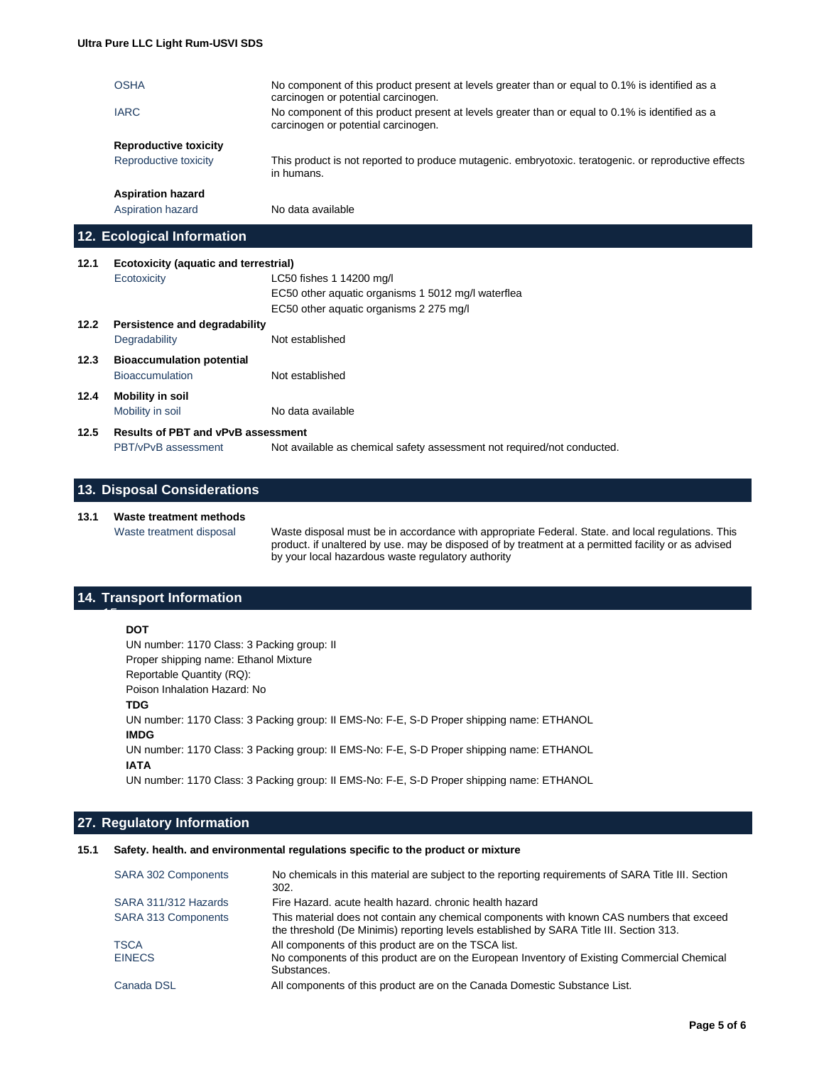|      | <b>OSHA</b>                                                | No component of this product present at levels greater than or equal to 0.1% is identified as a<br>carcinogen or potential carcinogen. |
|------|------------------------------------------------------------|----------------------------------------------------------------------------------------------------------------------------------------|
|      | <b>IARC</b>                                                | No component of this product present at levels greater than or equal to 0.1% is identified as a<br>carcinogen or potential carcinogen. |
|      | <b>Reproductive toxicity</b>                               |                                                                                                                                        |
|      | Reproductive toxicity                                      | This product is not reported to produce mutagenic. embryotoxic. teratogenic. or reproductive effects<br>in humans.                     |
|      | <b>Aspiration hazard</b>                                   |                                                                                                                                        |
|      | Aspiration hazard                                          | No data available                                                                                                                      |
|      | 12. Ecological Information                                 |                                                                                                                                        |
|      |                                                            |                                                                                                                                        |
| 12.1 | <b>Ecotoxicity (aquatic and terrestrial)</b>               |                                                                                                                                        |
|      | Ecotoxicity                                                | LC50 fishes 1 14200 mg/l                                                                                                               |
|      |                                                            | EC50 other aquatic organisms 1 5012 mg/l waterflea                                                                                     |
|      |                                                            | EC50 other aquatic organisms 2 275 mg/l                                                                                                |
| 12.2 | Persistence and degradability                              |                                                                                                                                        |
|      | Degradability                                              | Not established                                                                                                                        |
| 12.3 |                                                            |                                                                                                                                        |
|      | <b>Bioaccumulation potential</b><br><b>Bioaccumulation</b> | Not established                                                                                                                        |
| 12.4 |                                                            |                                                                                                                                        |
|      | <b>Mobility in soil</b><br>Mobility in soil                | No data available                                                                                                                      |

#### **12.5 Results of PBT and vPvB assessment** PBT/vPvB assessment Not available as chemical safety assessment not required/not conducted.

#### **13. Disposal Considerations**

#### **13.1 Waste treatment methods**

Waste treatment disposal Waste disposal must be in accordance with appropriate Federal. State. and local regulations. This product. if unaltered by use. may be disposed of by treatment at a permitted facility or as advised by your local hazardous waste regulatory authority

#### **14. Transport Information**

#### **16. DOT**

*15.*

UN number: 1170 Class: 3 Packing group: II Proper shipping name: Ethanol Mixture Reportable Quantity (RQ): Poison Inhalation Hazard: No

**21. TDG**

UN number: 1170 Class: 3 Packing group: II EMS-No: F-E, S-D Proper shipping name: ETHANOL **23. IMDG** UN number: 1170 Class: 3 Packing group: II EMS-No: F-E, S-D Proper shipping name: ETHANOL **25. IATA**

UN number: 1170 Class: 3 Packing group: II EMS-No: F-E, S-D Proper shipping name: ETHANOL

#### **27. Regulatory Information**

#### **15.1 Safety. health. and environmental regulations specific to the product or mixture**

| <b>SARA 302 Components</b> | No chemicals in this material are subject to the reporting requirements of SARA Title III. Section<br>302.                                                                           |
|----------------------------|--------------------------------------------------------------------------------------------------------------------------------------------------------------------------------------|
| SARA 311/312 Hazards       | Fire Hazard, acute health hazard, chronic health hazard                                                                                                                              |
| <b>SARA 313 Components</b> | This material does not contain any chemical components with known CAS numbers that exceed<br>the threshold (De Minimis) reporting levels established by SARA Title III. Section 313. |
| <b>TSCA</b>                | All components of this product are on the TSCA list.                                                                                                                                 |
| <b>EINECS</b>              | No components of this product are on the European Inventory of Existing Commercial Chemical<br>Substances.                                                                           |
| Canada DSL                 | All components of this product are on the Canada Domestic Substance List.                                                                                                            |